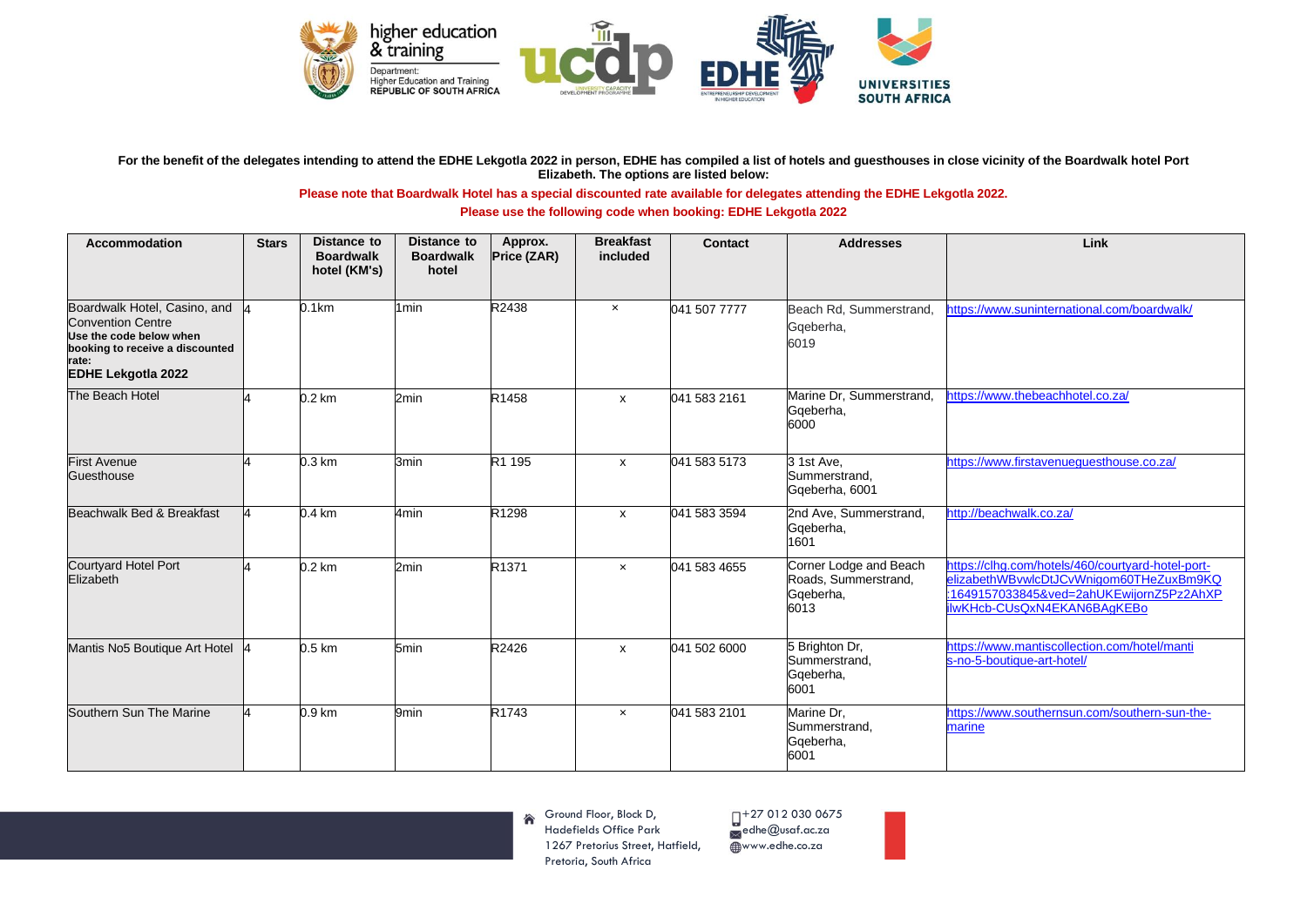

## For the benefit of the delegates intending to attend the EDHE Lekgotla 2022 in person, EDHE has compiled a list of hotels and guesthouses in close vicinity of the Boardwalk hotel Port **Elizabeth. The options are listed below:**

## **Please note that Boardwalk Hotel has a special discounted rate available for delegates attending the EDHE Lekgotla 2022.**

## **Please use the following code when booking: EDHE Lekgotla 2022**

| <b>Accommodation</b>                                                                                                                                         | <b>Stars</b> | <b>Distance to</b><br><b>Boardwalk</b><br>hotel (KM's) | <b>Distance to</b><br><b>Boardwalk</b><br>hotel | Approx.<br>Price (ZAR) | <b>Breakfast</b><br>included | Contact      | <b>Addresses</b>                                                    | Link                                                                                                                                                                    |
|--------------------------------------------------------------------------------------------------------------------------------------------------------------|--------------|--------------------------------------------------------|-------------------------------------------------|------------------------|------------------------------|--------------|---------------------------------------------------------------------|-------------------------------------------------------------------------------------------------------------------------------------------------------------------------|
| Boardwalk Hotel, Casino, and<br><b>Convention Centre</b><br>Use the code below when<br>booking to receive a discounted<br>rate:<br><b>EDHE Lekgotla 2022</b> |              | 0.1km                                                  | 1 <sub>min</sub>                                | R2438                  | $\boldsymbol{\mathsf{x}}$    | 041 507 7777 | Beach Rd, Summerstrand,<br>Gqeberha,<br>6019                        | https://www.suninternational.com/boardwalk/                                                                                                                             |
| The Beach Hotel                                                                                                                                              |              | $0.2 \text{ km}$                                       | 2min                                            | R1458                  | $\mathsf{x}$                 | 041 583 2161 | Marine Dr, Summerstrand,<br>Gqeberha,<br>6000                       | https://www.thebeachhotel.co.za/                                                                                                                                        |
| <b>First Avenue</b><br>Guesthouse                                                                                                                            |              | $0.3 \mathrm{km}$                                      | 3min                                            | R1 195                 | $\boldsymbol{\mathsf{x}}$    | 041 583 5173 | 3 1st Ave,<br>Summerstrand,<br>Gqeberha, 6001                       | https://www.firstavenuequesthouse.co.za/                                                                                                                                |
| Beachwalk Bed & Breakfast                                                                                                                                    |              | $0.4 \text{ km}$                                       | 4min                                            | R1298                  | $\mathsf{x}$                 | 041 583 3594 | 2nd Ave, Summerstrand,<br>Gqeberha,<br>1601                         | http://beachwalk.co.za/                                                                                                                                                 |
| <b>Courtyard Hotel Port</b><br>Elizabeth                                                                                                                     |              | $0.2 \text{ km}$                                       | 2min                                            | R <sub>1371</sub>      | $\boldsymbol{\mathsf{x}}$    | 041 583 4655 | Corner Lodge and Beach<br>Roads, Summerstrand,<br>Gqeberha,<br>6013 | https://clhg.com/hotels/460/courtyard-hotel-port-<br>elizabethWBvwlcDtJCvWnigom60THeZuxBm9KQ<br>:1649157033845&ved=2ahUKEwijornZ5Pz2AhXP<br>ilwKHcb-CUsQxN4EKAN6BAgKEBo |
| Mantis No5 Boutique Art Hotel                                                                                                                                |              | $0.5 \text{ km}$                                       | 5min                                            | R2426                  | $\mathsf{x}$                 | 041 502 6000 | 5 Brighton Dr,<br>Summerstrand,<br>Gqeberha,<br>6001                | https://www.mantiscollection.com/hotel/manti<br>s-no-5-boutique-art-hotel/                                                                                              |
| Southern Sun The Marine                                                                                                                                      |              | 0.9 <sub>km</sub>                                      | 9min                                            | R <sub>1743</sub>      | $\mathsf{x}$                 | 041 583 2101 | Marine Dr.<br>Summerstrand,<br>Gqeberha,<br>6001                    | https://www.southernsun.com/southern-sun-the-<br>marine                                                                                                                 |